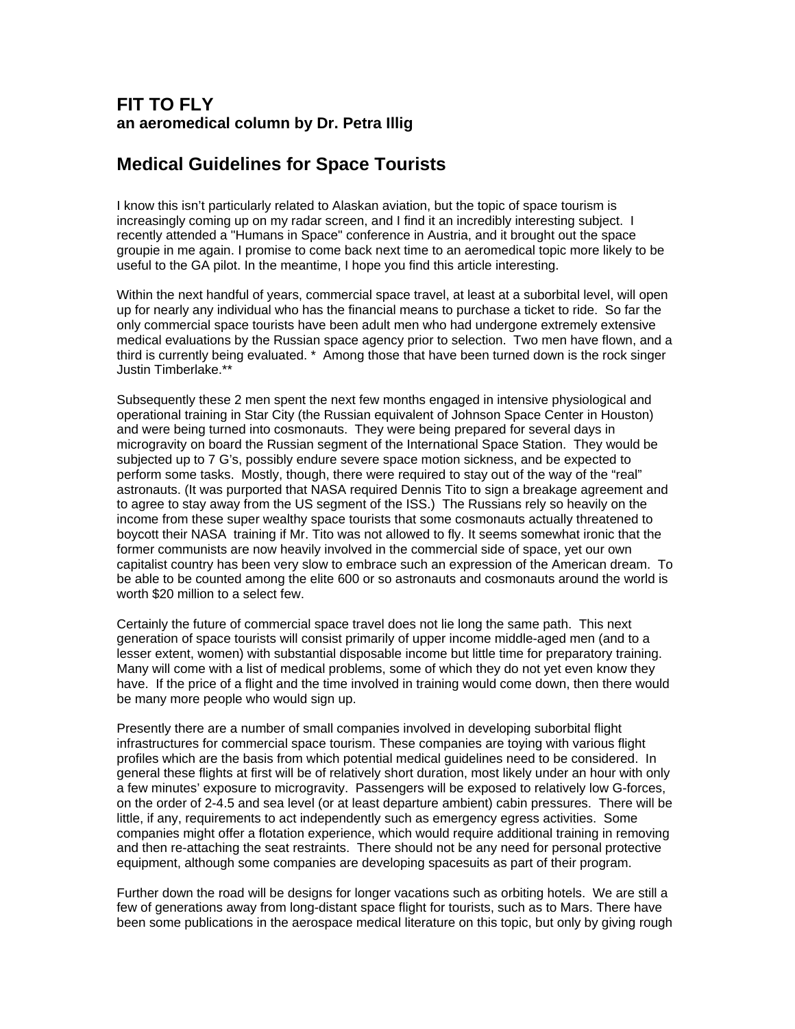## **FIT TO FLY an aeromedical column by Dr. Petra Illig**

## **Medical Guidelines for Space Tourists**

I know this isn't particularly related to Alaskan aviation, but the topic of space tourism is increasingly coming up on my radar screen, and I find it an incredibly interesting subject. I recently attended a "Humans in Space" conference in Austria, and it brought out the space groupie in me again. I promise to come back next time to an aeromedical topic more likely to be useful to the GA pilot. In the meantime, I hope you find this article interesting.

Within the next handful of years, commercial space travel, at least at a suborbital level, will open up for nearly any individual who has the financial means to purchase a ticket to ride. So far the only commercial space tourists have been adult men who had undergone extremely extensive medical evaluations by the Russian space agency prior to selection. Two men have flown, and a third is currently being evaluated. \* Among those that have been turned down is the rock singer Justin Timberlake.\*\*

Subsequently these 2 men spent the next few months engaged in intensive physiological and operational training in Star City (the Russian equivalent of Johnson Space Center in Houston) and were being turned into cosmonauts. They were being prepared for several days in microgravity on board the Russian segment of the International Space Station. They would be subjected up to 7 G's, possibly endure severe space motion sickness, and be expected to perform some tasks. Mostly, though, there were required to stay out of the way of the "real" astronauts. (It was purported that NASA required Dennis Tito to sign a breakage agreement and to agree to stay away from the US segment of the ISS.) The Russians rely so heavily on the income from these super wealthy space tourists that some cosmonauts actually threatened to boycott their NASA training if Mr. Tito was not allowed to fly. It seems somewhat ironic that the former communists are now heavily involved in the commercial side of space, yet our own capitalist country has been very slow to embrace such an expression of the American dream. To be able to be counted among the elite 600 or so astronauts and cosmonauts around the world is worth \$20 million to a select few.

Certainly the future of commercial space travel does not lie long the same path. This next generation of space tourists will consist primarily of upper income middle-aged men (and to a lesser extent, women) with substantial disposable income but little time for preparatory training. Many will come with a list of medical problems, some of which they do not yet even know they have. If the price of a flight and the time involved in training would come down, then there would be many more people who would sign up.

Presently there are a number of small companies involved in developing suborbital flight infrastructures for commercial space tourism. These companies are toying with various flight profiles which are the basis from which potential medical guidelines need to be considered. In general these flights at first will be of relatively short duration, most likely under an hour with only a few minutes' exposure to microgravity. Passengers will be exposed to relatively low G-forces, on the order of 2-4.5 and sea level (or at least departure ambient) cabin pressures. There will be little, if any, requirements to act independently such as emergency egress activities. Some companies might offer a flotation experience, which would require additional training in removing and then re-attaching the seat restraints. There should not be any need for personal protective equipment, although some companies are developing spacesuits as part of their program.

Further down the road will be designs for longer vacations such as orbiting hotels. We are still a few of generations away from long-distant space flight for tourists, such as to Mars. There have been some publications in the aerospace medical literature on this topic, but only by giving rough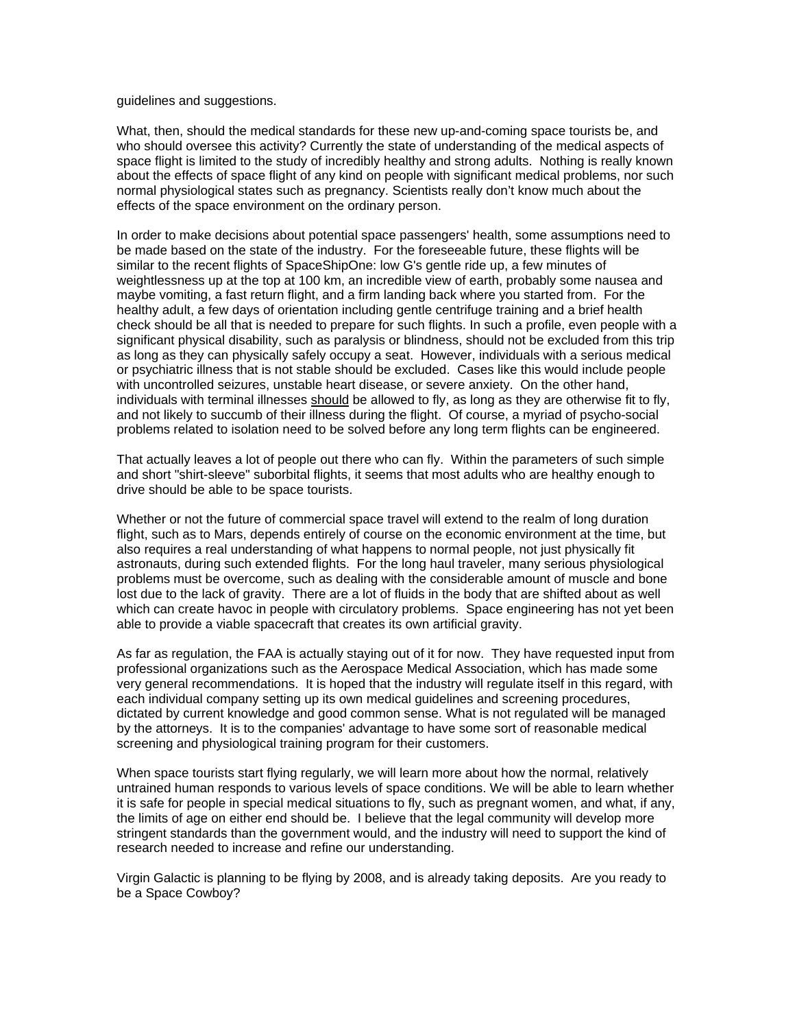## guidelines and suggestions.

What, then, should the medical standards for these new up-and-coming space tourists be, and who should oversee this activity? Currently the state of understanding of the medical aspects of space flight is limited to the study of incredibly healthy and strong adults. Nothing is really known about the effects of space flight of any kind on people with significant medical problems, nor such normal physiological states such as pregnancy. Scientists really don't know much about the effects of the space environment on the ordinary person.

In order to make decisions about potential space passengers' health, some assumptions need to be made based on the state of the industry. For the foreseeable future, these flights will be similar to the recent flights of SpaceShipOne: low G's gentle ride up, a few minutes of weightlessness up at the top at 100 km, an incredible view of earth, probably some nausea and maybe vomiting, a fast return flight, and a firm landing back where you started from. For the healthy adult, a few days of orientation including gentle centrifuge training and a brief health check should be all that is needed to prepare for such flights. In such a profile, even people with a significant physical disability, such as paralysis or blindness, should not be excluded from this trip as long as they can physically safely occupy a seat. However, individuals with a serious medical or psychiatric illness that is not stable should be excluded. Cases like this would include people with uncontrolled seizures, unstable heart disease, or severe anxiety. On the other hand, individuals with terminal illnesses should be allowed to fly, as long as they are otherwise fit to fly, and not likely to succumb of their illness during the flight. Of course, a myriad of psycho-social problems related to isolation need to be solved before any long term flights can be engineered.

That actually leaves a lot of people out there who can fly. Within the parameters of such simple and short "shirt-sleeve" suborbital flights, it seems that most adults who are healthy enough to drive should be able to be space tourists.

Whether or not the future of commercial space travel will extend to the realm of long duration flight, such as to Mars, depends entirely of course on the economic environment at the time, but also requires a real understanding of what happens to normal people, not just physically fit astronauts, during such extended flights. For the long haul traveler, many serious physiological problems must be overcome, such as dealing with the considerable amount of muscle and bone lost due to the lack of gravity. There are a lot of fluids in the body that are shifted about as well which can create havoc in people with circulatory problems. Space engineering has not yet been able to provide a viable spacecraft that creates its own artificial gravity.

As far as regulation, the FAA is actually staying out of it for now. They have requested input from professional organizations such as the Aerospace Medical Association, which has made some very general recommendations. It is hoped that the industry will regulate itself in this regard, with each individual company setting up its own medical guidelines and screening procedures, dictated by current knowledge and good common sense. What is not regulated will be managed by the attorneys. It is to the companies' advantage to have some sort of reasonable medical screening and physiological training program for their customers.

When space tourists start flying regularly, we will learn more about how the normal, relatively untrained human responds to various levels of space conditions. We will be able to learn whether it is safe for people in special medical situations to fly, such as pregnant women, and what, if any, the limits of age on either end should be. I believe that the legal community will develop more stringent standards than the government would, and the industry will need to support the kind of research needed to increase and refine our understanding.

Virgin Galactic is planning to be flying by 2008, and is already taking deposits. Are you ready to be a Space Cowboy?